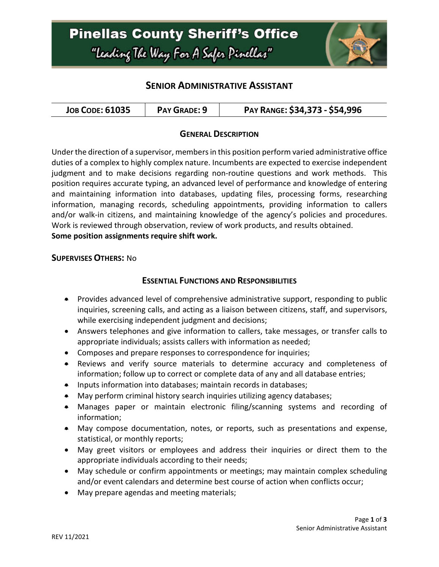## **SENIOR ADMINISTRATIVE ASSISTANT**

### **GENERAL DESCRIPTION**

Under the direction of a supervisor, members in this position perform varied administrative office duties of a complex to highly complex nature. Incumbents are expected to exercise independent judgment and to make decisions regarding non-routine questions and work methods. This position requires accurate typing, an advanced level of performance and knowledge of entering and maintaining information into databases, updating files, processing forms, researching information, managing records, scheduling appointments, providing information to callers and/or walk-in citizens, and maintaining knowledge of the agency's policies and procedures. Work is reviewed through observation, review of work products, and results obtained. **Some position assignments require shift work.**

#### **SUPERVISES OTHERS:** No

## **ESSENTIAL FUNCTIONS AND RESPONSIBILITIES**

- Provides advanced level of comprehensive administrative support, responding to public inquiries, screening calls, and acting as a liaison between citizens, staff, and supervisors, while exercising independent judgment and decisions;
- Answers telephones and give information to callers, take messages, or transfer calls to appropriate individuals; assists callers with information as needed;
- Composes and prepare responses to correspondence for inquiries;
- Reviews and verify source materials to determine accuracy and completeness of information; follow up to correct or complete data of any and all database entries;
- Inputs information into databases; maintain records in databases;
- May perform criminal history search inquiries utilizing agency databases;
- Manages paper or maintain electronic filing/scanning systems and recording of information;
- May compose documentation, notes, or reports, such as presentations and expense, statistical, or monthly reports;
- May greet visitors or employees and address their inquiries or direct them to the appropriate individuals according to their needs;
- May schedule or confirm appointments or meetings; may maintain complex scheduling and/or event calendars and determine best course of action when conflicts occur;
- May prepare agendas and meeting materials;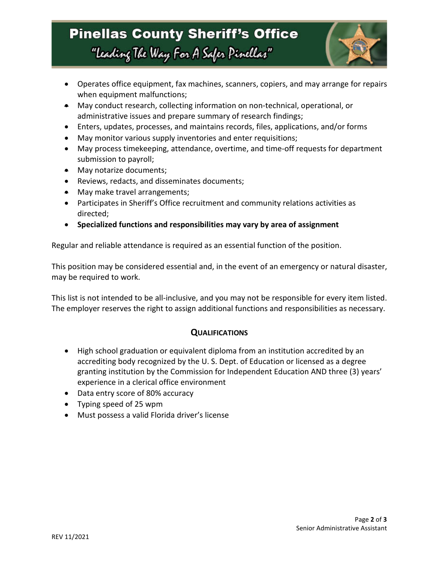# **Pinellas County Sheriff's Office** "Leading The Way For A Safer Pinellas"



- Operates office equipment, fax machines, scanners, copiers, and may arrange for repairs when equipment malfunctions;
- May conduct research, collecting information on non-technical, operational, or administrative issues and prepare summary of research findings;
- Enters, updates, processes, and maintains records, files, applications, and/or forms
- May monitor various supply inventories and enter requisitions;
- May process timekeeping, attendance, overtime, and time-off requests for department submission to payroll;
- May notarize documents;
- Reviews, redacts, and disseminates documents;
- May make travel arrangements;
- Participates in Sheriff's Office recruitment and community relations activities as directed;
- **Specialized functions and responsibilities may vary by area of assignment**

Regular and reliable attendance is required as an essential function of the position.

This position may be considered essential and, in the event of an emergency or natural disaster, may be required to work.

This list is not intended to be all-inclusive, and you may not be responsible for every item listed. The employer reserves the right to assign additional functions and responsibilities as necessary.

### **QUALIFICATIONS**

- High school graduation or equivalent diploma from an institution accredited by an accrediting body recognized by the U. S. Dept. of Education or licensed as a degree granting institution by the Commission for Independent Education AND three (3) years' experience in a clerical office environment
- Data entry score of 80% accuracy
- Typing speed of 25 wpm
- Must possess a valid Florida driver's license